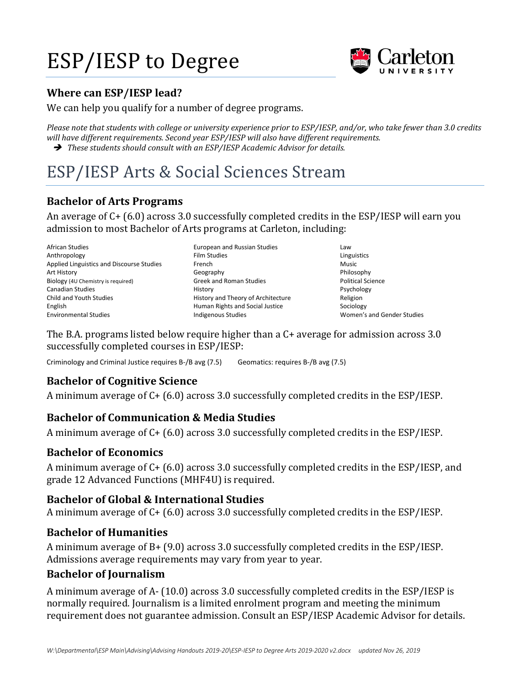# ESP/IESP to Degree



#### **Where can ESP/IESP lead?**

We can help you qualify for a number of degree programs.

*Please note that students with college or university experience prior to ESP/IESP, and/or, who take fewer than 3.0 credits will have different requirements. Second year ESP/IESP will also have different requirements.* ➔ *These students should consult with an ESP/IESP Academic Advisor for details.*

## ESP/IESP Arts & Social Sciences Stream

#### **Bachelor of Arts Programs**

An average of C+ (6.0) across 3.0 successfully completed credits in the ESP/IESP will earn you admission to most Bachelor of Arts programs at Carleton, including:

- African Studies Anthropology Applied Linguistics and Discourse Studies Art History Biology (4U Chemistry is required) Canadian Studies Child and Youth Studies English Environmental Studies
- European and Russian Studies Film Studies French Geography Greek and Roman Studies History History and Theory of Architecture Human Rights and Social Justice Indigenous Studies
- Law Linguistics Music Philosophy Political Science Psychology Religion Sociology Women's and Gender Studies

The B.A. programs listed below require higher than a C+ average for admission across 3.0 successfully completed courses in ESP/IESP:

Criminology and Criminal Justice requires B-/B avg (7.5) Geomatics: requires B-/B avg (7.5)

#### **Bachelor of Cognitive Science**

A minimum average of C+ (6.0) across 3.0 successfully completed credits in the ESP/IESP.

#### **Bachelor of Communication & Media Studies**

A minimum average of C+ (6.0) across 3.0 successfully completed credits in the ESP/IESP.

#### **Bachelor of Economics**

A minimum average of C+ (6.0) across 3.0 successfully completed credits in the ESP/IESP, and grade 12 Advanced Functions (MHF4U) is required.

#### **Bachelor of Global & International Studies**

A minimum average of C+ (6.0) across 3.0 successfully completed credits in the ESP/IESP.

#### **Bachelor of Humanities**

A minimum average of B+ (9.0) across 3.0 successfully completed credits in the ESP/IESP. Admissions average requirements may vary from year to year.

#### **Bachelor of Journalism**

A minimum average of A- (10.0) across 3.0 successfully completed credits in the ESP/IESP is normally required. Journalism is a limited enrolment program and meeting the minimum requirement does not guarantee admission. Consult an ESP/IESP Academic Advisor for details.